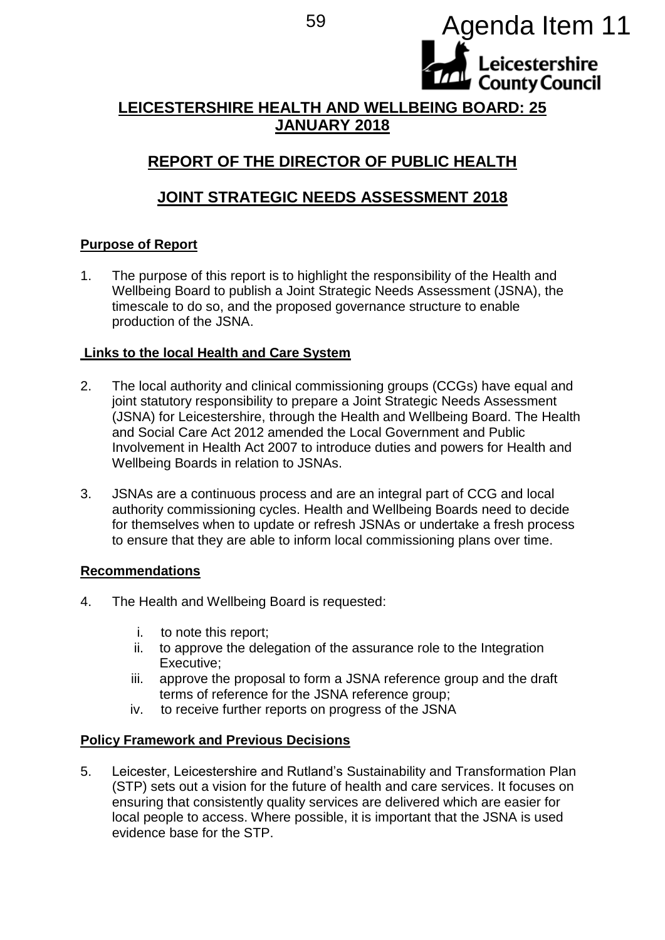<sup>59</sup> Agenda Item 11

# **LEICESTERSHIRE HEALTH AND WELLBEING BOARD: 25 JANUARY 2018**

Leicestershire **County Council** 

# **REPORT OF THE DIRECTOR OF PUBLIC HEALTH**

# **JOINT STRATEGIC NEEDS ASSESSMENT 2018**

# **Purpose of Report**

1. The purpose of this report is to highlight the responsibility of the Health and Wellbeing Board to publish a Joint Strategic Needs Assessment (JSNA), the timescale to do so, and the proposed governance structure to enable production of the JSNA.

# **Links to the local Health and Care System**

- 2. The local authority and clinical commissioning groups (CCGs) have equal and joint statutory responsibility to prepare a Joint Strategic Needs Assessment (JSNA) for Leicestershire, through the Health and Wellbeing Board. The Health and Social Care Act 2012 amended the Local Government and Public Involvement in Health Act 2007 to introduce duties and powers for Health and Wellbeing Boards in relation to JSNAs.
- 3. JSNAs are a continuous process and are an integral part of CCG and local authority commissioning cycles. Health and Wellbeing Boards need to decide for themselves when to update or refresh JSNAs or undertake a fresh process to ensure that they are able to inform local commissioning plans over time.

# **Recommendations**

- 4. The Health and Wellbeing Board is requested:
	- i. to note this report;
	- ii. to approve the delegation of the assurance role to the Integration Executive;
	- iii. approve the proposal to form a JSNA reference group and the draft terms of reference for the JSNA reference group;
	- iv. to receive further reports on progress of the JSNA

# **Policy Framework and Previous Decisions**

5. Leicester, Leicestershire and Rutland's Sustainability and Transformation Plan (STP) sets out a vision for the future of health and care services. It focuses on ensuring that consistently quality services are delivered which are easier for local people to access. Where possible, it is important that the JSNA is used evidence base for the STP.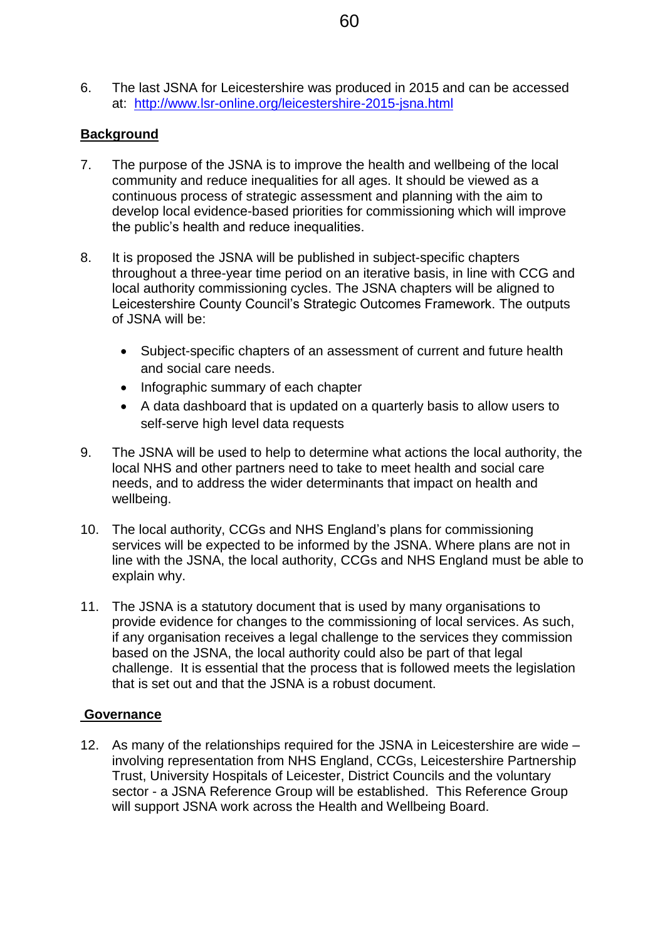6. The last JSNA for Leicestershire was produced in 2015 and can be accessed at: <http://www.lsr-online.org/leicestershire-2015-jsna.html>

### **Background**

- 7. The purpose of the JSNA is to improve the health and wellbeing of the local community and reduce inequalities for all ages. It should be viewed as a continuous process of strategic assessment and planning with the aim to develop local evidence-based priorities for commissioning which will improve the public's health and reduce inequalities.
- 8. It is proposed the JSNA will be published in subject-specific chapters throughout a three-year time period on an iterative basis, in line with CCG and local authority commissioning cycles. The JSNA chapters will be aligned to Leicestershire County Council's Strategic Outcomes Framework. The outputs of JSNA will be:
	- Subject-specific chapters of an assessment of current and future health and social care needs.
	- Infographic summary of each chapter
	- A data dashboard that is updated on a quarterly basis to allow users to self-serve high level data requests
- 9. The JSNA will be used to help to determine what actions the local authority, the local NHS and other partners need to take to meet health and social care needs, and to address the wider determinants that impact on health and wellbeing.
- 10. The local authority, CCGs and NHS England's plans for commissioning services will be expected to be informed by the JSNA. Where plans are not in line with the JSNA, the local authority, CCGs and NHS England must be able to explain why.
- 11. The JSNA is a statutory document that is used by many organisations to provide evidence for changes to the commissioning of local services. As such, if any organisation receives a legal challenge to the services they commission based on the JSNA, the local authority could also be part of that legal challenge. It is essential that the process that is followed meets the legislation that is set out and that the JSNA is a robust document.

# **Governance**

12. As many of the relationships required for the JSNA in Leicestershire are wide – involving representation from NHS England, CCGs, Leicestershire Partnership Trust, University Hospitals of Leicester, District Councils and the voluntary sector - a JSNA Reference Group will be established. This Reference Group will support JSNA work across the Health and Wellbeing Board.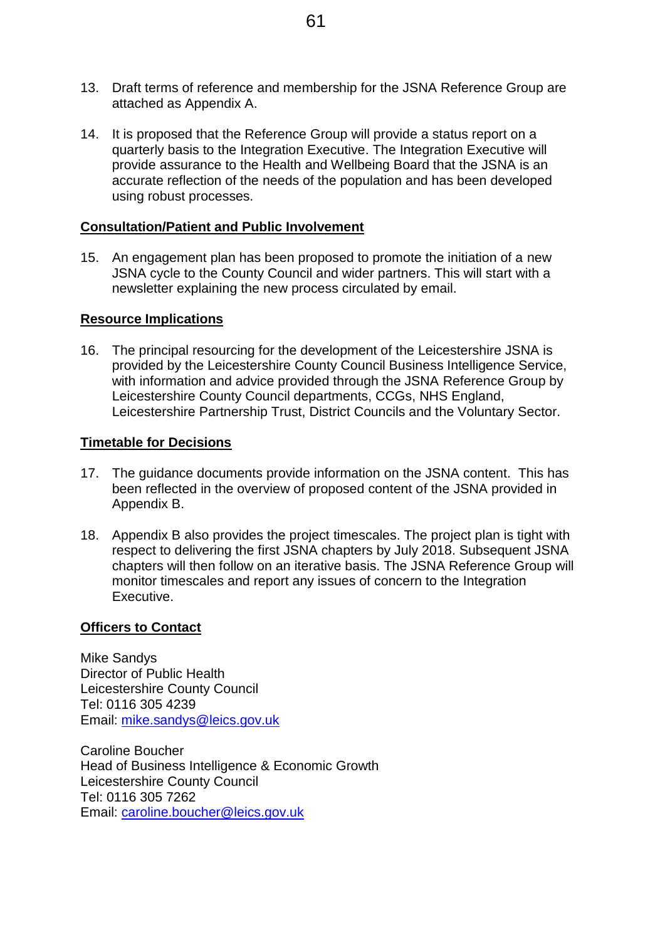- 13. Draft terms of reference and membership for the JSNA Reference Group are attached as Appendix A.
- 14. It is proposed that the Reference Group will provide a status report on a quarterly basis to the Integration Executive. The Integration Executive will provide assurance to the Health and Wellbeing Board that the JSNA is an accurate reflection of the needs of the population and has been developed using robust processes.

#### **Consultation/Patient and Public Involvement**

15. An engagement plan has been proposed to promote the initiation of a new JSNA cycle to the County Council and wider partners. This will start with a newsletter explaining the new process circulated by email.

#### **Resource Implications**

16. The principal resourcing for the development of the Leicestershire JSNA is provided by the Leicestershire County Council Business Intelligence Service, with information and advice provided through the JSNA Reference Group by Leicestershire County Council departments, CCGs, NHS England, Leicestershire Partnership Trust, District Councils and the Voluntary Sector.

#### **Timetable for Decisions**

- 17. The guidance documents provide information on the JSNA content. This has been reflected in the overview of proposed content of the JSNA provided in Appendix B.
- 18. Appendix B also provides the project timescales. The project plan is tight with respect to delivering the first JSNA chapters by July 2018. Subsequent JSNA chapters will then follow on an iterative basis. The JSNA Reference Group will monitor timescales and report any issues of concern to the Integration Executive.

#### **Officers to Contact**

Mike Sandys Director of Public Health Leicestershire County Council Tel: 0116 305 4239 Email: [mike.sandys@leics.gov.uk](mailto:mike.sandys@leics.gov.uk)

Caroline Boucher Head of Business Intelligence & Economic Growth Leicestershire County Council Tel: 0116 305 7262 Email: [caroline.boucher@leics.gov.uk](mailto:caroline.boucher@leics.gov.uk)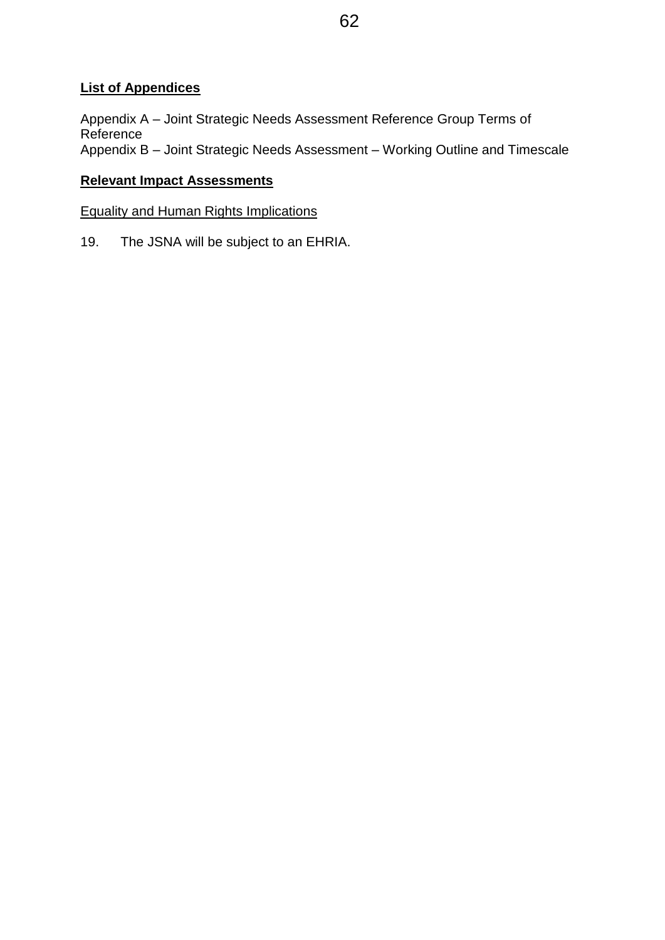# **List of Appendices**

Appendix A – Joint Strategic Needs Assessment Reference Group Terms of **Reference** Appendix B – Joint Strategic Needs Assessment – Working Outline and Timescale

# **Relevant Impact Assessments**

Equality and Human Rights Implications

19. The JSNA will be subject to an EHRIA.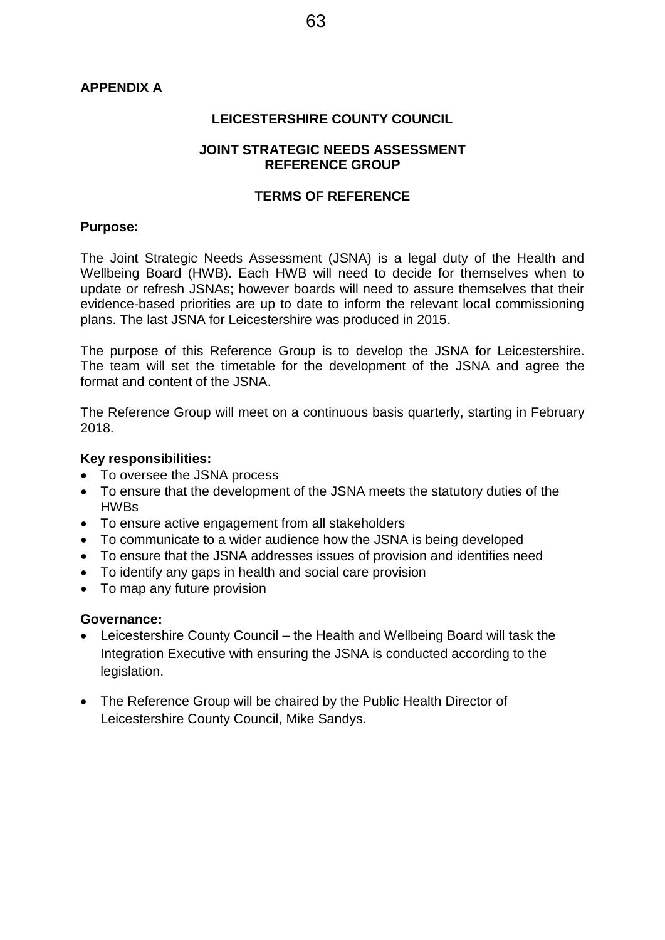#### **APPENDIX A**

#### **LEICESTERSHIRE COUNTY COUNCIL**

#### **JOINT STRATEGIC NEEDS ASSESSMENT REFERENCE GROUP**

#### **TERMS OF REFERENCE**

#### **Purpose:**

The Joint Strategic Needs Assessment (JSNA) is a legal duty of the Health and Wellbeing Board (HWB). Each HWB will need to decide for themselves when to update or refresh JSNAs; however boards will need to assure themselves that their evidence-based priorities are up to date to inform the relevant local commissioning plans. The last JSNA for Leicestershire was produced in 2015.

The purpose of this Reference Group is to develop the JSNA for Leicestershire. The team will set the timetable for the development of the JSNA and agree the format and content of the JSNA.

The Reference Group will meet on a continuous basis quarterly, starting in February 2018.

#### **Key responsibilities:**

- To oversee the JSNA process
- To ensure that the development of the JSNA meets the statutory duties of the HWBs
- To ensure active engagement from all stakeholders
- To communicate to a wider audience how the JSNA is being developed
- To ensure that the JSNA addresses issues of provision and identifies need
- To identify any gaps in health and social care provision
- To map any future provision

#### **Governance:**

- Leicestershire County Council the Health and Wellbeing Board will task the Integration Executive with ensuring the JSNA is conducted according to the legislation.
- The Reference Group will be chaired by the Public Health Director of Leicestershire County Council, Mike Sandys.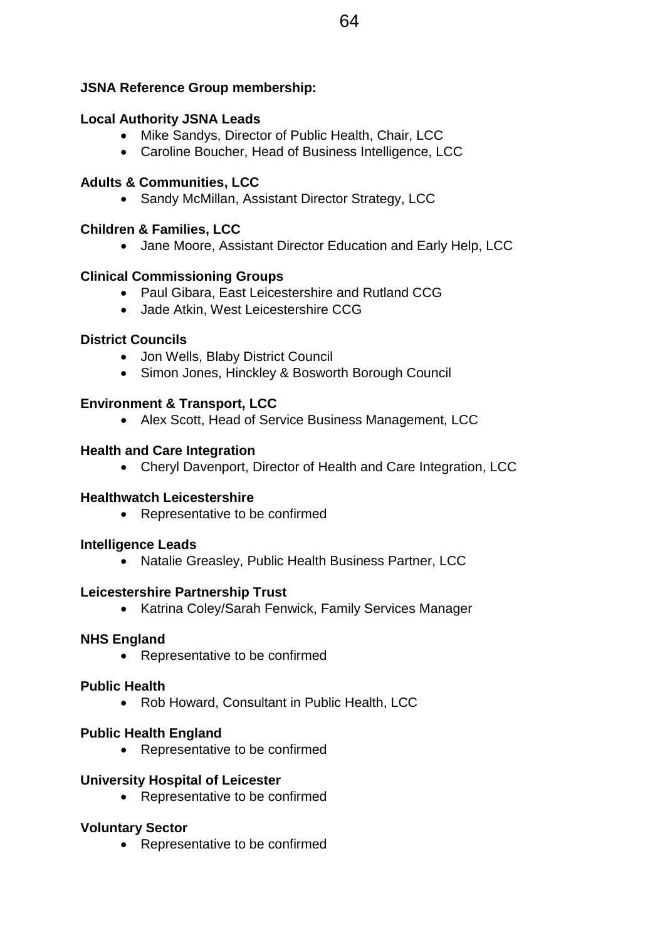### **JSNA Reference Group membership:**

#### **Local Authority JSNA Leads**

- Mike Sandys, Director of Public Health, Chair, LCC
- Caroline Boucher, Head of Business Intelligence, LCC

### **Adults & Communities, LCC**

• Sandy McMillan, Assistant Director Strategy, LCC

### **Children & Families, LCC**

Jane Moore, Assistant Director Education and Early Help, LCC

#### **Clinical Commissioning Groups**

- Paul Gibara, East Leicestershire and Rutland CCG
- Jade Atkin, West Leicestershire CCG

#### **District Councils**

- Jon Wells, Blaby District Council
- Simon Jones, Hinckley & Bosworth Borough Council

### **Environment & Transport, LCC**

• Alex Scott, Head of Service Business Management, LCC

#### **Health and Care Integration**

Cheryl Davenport, Director of Health and Care Integration, LCC

#### **Healthwatch Leicestershire**

• Representative to be confirmed

#### **Intelligence Leads**

Natalie Greasley, Public Health Business Partner, LCC

#### **Leicestershire Partnership Trust**

• Katrina Coley/Sarah Fenwick, Family Services Manager

#### **NHS England**

• Representative to be confirmed

#### **Public Health**

• Rob Howard, Consultant in Public Health, LCC

#### **Public Health England**

• Representative to be confirmed

#### **University Hospital of Leicester**

• Representative to be confirmed

#### **Voluntary Sector**

• Representative to be confirmed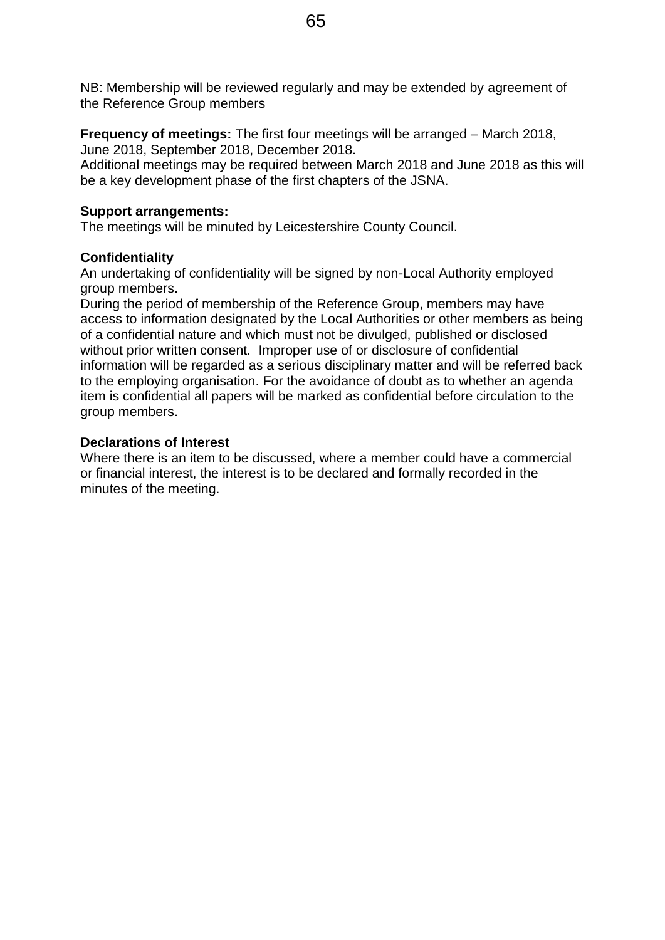NB: Membership will be reviewed regularly and may be extended by agreement of the Reference Group members

**Frequency of meetings:** The first four meetings will be arranged – March 2018, June 2018, September 2018, December 2018.

Additional meetings may be required between March 2018 and June 2018 as this will be a key development phase of the first chapters of the JSNA.

#### **Support arrangements:**

The meetings will be minuted by Leicestershire County Council.

#### **Confidentiality**

An undertaking of confidentiality will be signed by non-Local Authority employed group members.

During the period of membership of the Reference Group, members may have access to information designated by the Local Authorities or other members as being of a confidential nature and which must not be divulged, published or disclosed without prior written consent. Improper use of or disclosure of confidential information will be regarded as a serious disciplinary matter and will be referred back to the employing organisation. For the avoidance of doubt as to whether an agenda item is confidential all papers will be marked as confidential before circulation to the group members.

#### **Declarations of Interest**

Where there is an item to be discussed, where a member could have a commercial or financial interest, the interest is to be declared and formally recorded in the minutes of the meeting.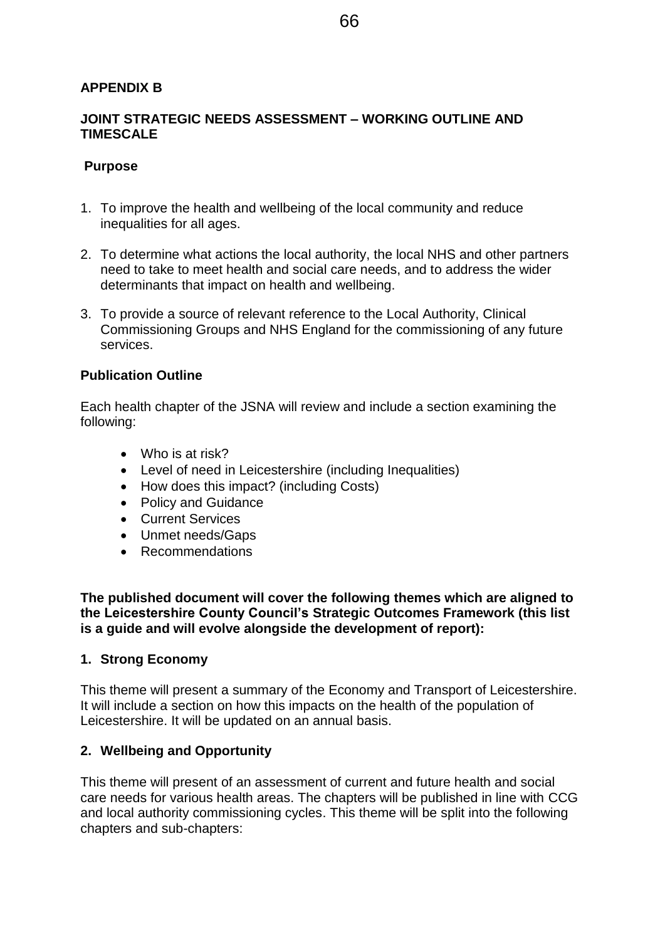#### **APPENDIX B**

#### **JOINT STRATEGIC NEEDS ASSESSMENT – WORKING OUTLINE AND TIMESCALE**

#### **Purpose**

- 1. To improve the health and wellbeing of the local community and reduce inequalities for all ages.
- 2. To determine what actions the local authority, the local NHS and other partners need to take to meet health and social care needs, and to address the wider determinants that impact on health and wellbeing.
- 3. To provide a source of relevant reference to the Local Authority, Clinical Commissioning Groups and NHS England for the commissioning of any future services.

#### **Publication Outline**

Each health chapter of the JSNA will review and include a section examining the following:

- Who is at risk?
- Level of need in Leicestershire (including Inequalities)
- How does this impact? (including Costs)
- Policy and Guidance
- Current Services
- Unmet needs/Gaps
- Recommendations

**The published document will cover the following themes which are aligned to the Leicestershire County Council's Strategic Outcomes Framework (this list is a guide and will evolve alongside the development of report):**

#### **1. Strong Economy**

This theme will present a summary of the Economy and Transport of Leicestershire. It will include a section on how this impacts on the health of the population of Leicestershire. It will be updated on an annual basis.

#### **2. Wellbeing and Opportunity**

This theme will present of an assessment of current and future health and social care needs for various health areas. The chapters will be published in line with CCG and local authority commissioning cycles. This theme will be split into the following chapters and sub-chapters: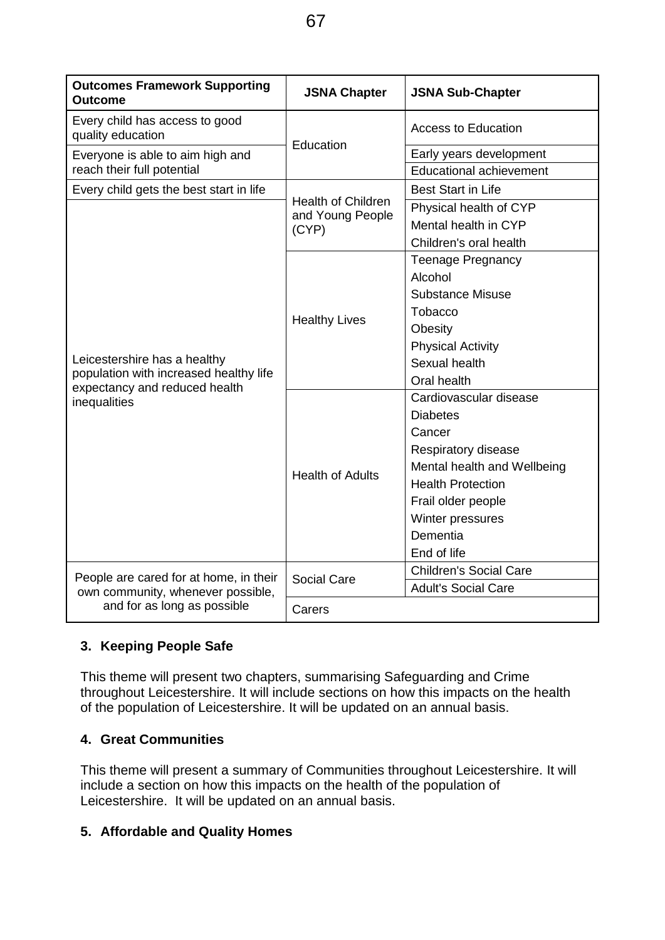| <b>Outcomes Framework Supporting</b><br><b>Outcome</b>                                                  | <b>JSNA Chapter</b>                                    | <b>JSNA Sub-Chapter</b>        |
|---------------------------------------------------------------------------------------------------------|--------------------------------------------------------|--------------------------------|
| Every child has access to good<br>quality education                                                     | Education                                              | <b>Access to Education</b>     |
| Everyone is able to aim high and                                                                        |                                                        | Early years development        |
| reach their full potential                                                                              |                                                        | <b>Educational achievement</b> |
| Every child gets the best start in life                                                                 |                                                        | <b>Best Start in Life</b>      |
|                                                                                                         | <b>Health of Children</b><br>and Young People<br>(CYP) | Physical health of CYP         |
|                                                                                                         |                                                        | Mental health in CYP           |
|                                                                                                         |                                                        | Children's oral health         |
|                                                                                                         | <b>Healthy Lives</b>                                   | <b>Teenage Pregnancy</b>       |
|                                                                                                         |                                                        | Alcohol                        |
| Leicestershire has a healthy<br>population with increased healthy life<br>expectancy and reduced health |                                                        | <b>Substance Misuse</b>        |
|                                                                                                         |                                                        | Tobacco                        |
|                                                                                                         |                                                        | Obesity                        |
|                                                                                                         |                                                        | <b>Physical Activity</b>       |
|                                                                                                         |                                                        | Sexual health                  |
|                                                                                                         |                                                        | Oral health                    |
| inequalities                                                                                            | <b>Health of Adults</b>                                | Cardiovascular disease         |
|                                                                                                         |                                                        | <b>Diabetes</b>                |
|                                                                                                         |                                                        | Cancer                         |
|                                                                                                         |                                                        | Respiratory disease            |
|                                                                                                         |                                                        | Mental health and Wellbeing    |
|                                                                                                         |                                                        | <b>Health Protection</b>       |
|                                                                                                         |                                                        | Frail older people             |
|                                                                                                         |                                                        | Winter pressures               |
|                                                                                                         |                                                        | Dementia                       |
|                                                                                                         |                                                        | End of life                    |
| People are cared for at home, in their                                                                  | Social Care                                            | <b>Children's Social Care</b>  |
| own community, whenever possible,                                                                       |                                                        | <b>Adult's Social Care</b>     |
| and for as long as possible                                                                             | Carers                                                 |                                |

# **3. Keeping People Safe**

This theme will present two chapters, summarising Safeguarding and Crime throughout Leicestershire. It will include sections on how this impacts on the health of the population of Leicestershire. It will be updated on an annual basis.

# **4. Great Communities**

This theme will present a summary of Communities throughout Leicestershire. It will include a section on how this impacts on the health of the population of Leicestershire. It will be updated on an annual basis.

# **5. Affordable and Quality Homes**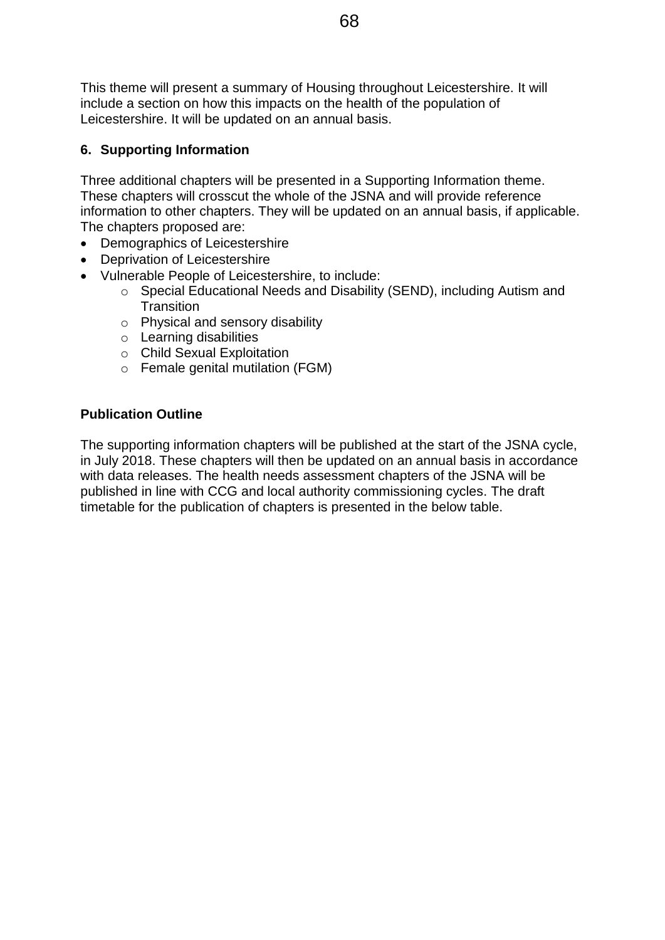This theme will present a summary of Housing throughout Leicestershire. It will include a section on how this impacts on the health of the population of Leicestershire. It will be updated on an annual basis.

# **6. Supporting Information**

Three additional chapters will be presented in a Supporting Information theme. These chapters will crosscut the whole of the JSNA and will provide reference information to other chapters. They will be updated on an annual basis, if applicable. The chapters proposed are:

- Demographics of Leicestershire
- Deprivation of Leicestershire
- Vulnerable People of Leicestershire, to include:
	- o Special Educational Needs and Disability (SEND), including Autism and **Transition**
	- o Physical and sensory disability
	- o Learning disabilities
	- o Child Sexual Exploitation
	- o Female genital mutilation (FGM)

### **Publication Outline**

The supporting information chapters will be published at the start of the JSNA cycle, in July 2018. These chapters will then be updated on an annual basis in accordance with data releases. The health needs assessment chapters of the JSNA will be published in line with CCG and local authority commissioning cycles. The draft timetable for the publication of chapters is presented in the below table.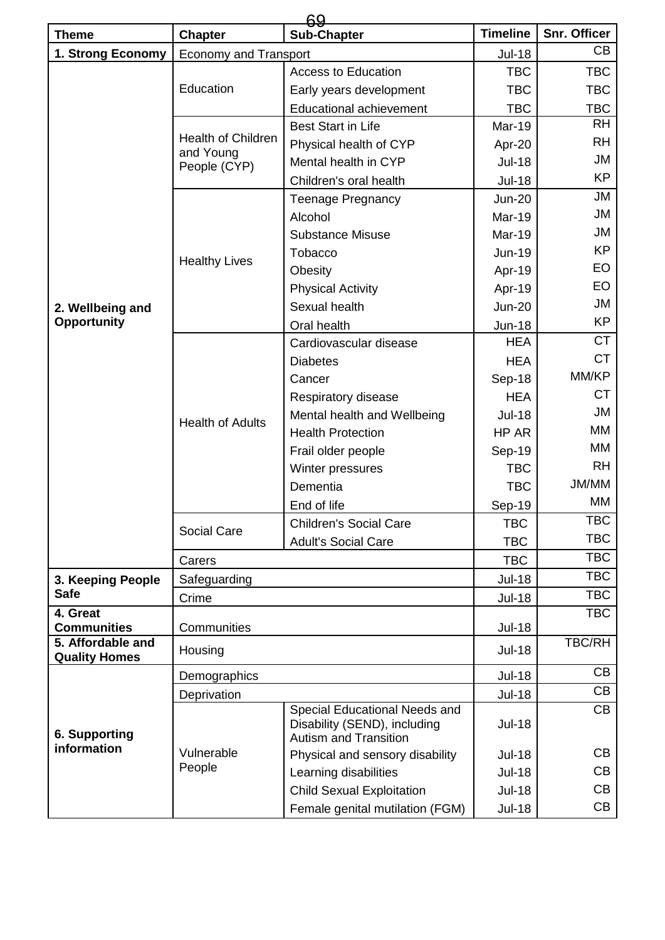|                                           | 69                                                     |                                                                                               |                             |                     |  |  |
|-------------------------------------------|--------------------------------------------------------|-----------------------------------------------------------------------------------------------|-----------------------------|---------------------|--|--|
| <b>Theme</b>                              | <b>Chapter</b>                                         | <b>Sub-Chapter</b>                                                                            | <b>Timeline</b>             | <b>Snr. Officer</b> |  |  |
| 1. Strong Economy                         | <b>Economy and Transport</b>                           |                                                                                               | <b>Jul-18</b>               | CB                  |  |  |
|                                           |                                                        | <b>Access to Education</b>                                                                    | <b>TBC</b>                  | <b>TBC</b>          |  |  |
|                                           | Education                                              | Early years development                                                                       | <b>TBC</b>                  | <b>TBC</b>          |  |  |
|                                           |                                                        | <b>Educational achievement</b>                                                                | <b>TBC</b>                  | <b>TBC</b>          |  |  |
|                                           | <b>Health of Children</b><br>and Young<br>People (CYP) | <b>Best Start in Life</b>                                                                     | <b>Mar-19</b>               | <b>RH</b>           |  |  |
|                                           |                                                        | Physical health of CYP                                                                        | Apr-20                      | <b>RH</b>           |  |  |
|                                           |                                                        | Mental health in CYP                                                                          | <b>Jul-18</b>               | JM                  |  |  |
|                                           |                                                        | Children's oral health                                                                        | <b>Jul-18</b>               | <b>KP</b>           |  |  |
|                                           |                                                        | <b>Teenage Pregnancy</b>                                                                      | <b>Jun-20</b>               | <b>JM</b>           |  |  |
|                                           |                                                        | Alcohol                                                                                       | <b>Mar-19</b>               | JM                  |  |  |
|                                           |                                                        | <b>Substance Misuse</b>                                                                       | Mar-19                      | JM                  |  |  |
|                                           | <b>Healthy Lives</b>                                   | Tobacco                                                                                       | <b>Jun-19</b>               | <b>KP</b>           |  |  |
|                                           |                                                        | Obesity                                                                                       | Apr-19                      | <b>EO</b>           |  |  |
|                                           |                                                        | <b>Physical Activity</b>                                                                      | Apr-19                      | EO                  |  |  |
| 2. Wellbeing and                          |                                                        | Sexual health                                                                                 | <b>Jun-20</b>               | JM                  |  |  |
| <b>Opportunity</b>                        |                                                        | Oral health                                                                                   | <b>Jun-18</b>               | <b>KP</b>           |  |  |
|                                           |                                                        | Cardiovascular disease                                                                        | <b>HEA</b>                  | <b>CT</b>           |  |  |
|                                           |                                                        | <b>Diabetes</b>                                                                               | <b>HEA</b>                  | <b>CT</b>           |  |  |
|                                           |                                                        | Cancer                                                                                        | Sep-18                      | MM/KP               |  |  |
|                                           |                                                        | Respiratory disease                                                                           | <b>HEA</b>                  | <b>CT</b>           |  |  |
|                                           | <b>Health of Adults</b>                                | Mental health and Wellbeing                                                                   | <b>Jul-18</b>               | JM                  |  |  |
|                                           |                                                        | <b>Health Protection</b>                                                                      | HP AR                       | MM                  |  |  |
|                                           |                                                        | Frail older people                                                                            | Sep-19                      | МM                  |  |  |
|                                           |                                                        | Winter pressures                                                                              | <b>TBC</b>                  | <b>RH</b>           |  |  |
|                                           |                                                        | Dementia                                                                                      | <b>TBC</b>                  | JM/MM               |  |  |
|                                           |                                                        | End of life                                                                                   | Sep-19                      | МM                  |  |  |
|                                           | <b>Social Care</b>                                     | <b>Children's Social Care</b>                                                                 | TBC                         | TBC                 |  |  |
|                                           |                                                        | <b>Adult's Social Care</b>                                                                    | <b>TBC</b>                  | <b>TBC</b>          |  |  |
|                                           | Carers                                                 |                                                                                               |                             | <b>TBC</b>          |  |  |
| 3. Keeping People                         | Safeguarding                                           |                                                                                               | <b>TBC</b><br><b>Jul-18</b> | <b>TBC</b>          |  |  |
| <b>Safe</b><br>Crime                      |                                                        |                                                                                               | <b>Jul-18</b>               | <b>TBC</b>          |  |  |
| 4. Great                                  |                                                        |                                                                                               |                             | <b>TBC</b>          |  |  |
| <b>Communities</b>                        | Communities                                            |                                                                                               | <b>Jul-18</b>               |                     |  |  |
| 5. Affordable and<br><b>Quality Homes</b> | Housing                                                |                                                                                               | <b>Jul-18</b>               | <b>TBC/RH</b>       |  |  |
| 6. Supporting<br>information              | Demographics                                           |                                                                                               | <b>Jul-18</b>               | CB                  |  |  |
|                                           | Deprivation                                            |                                                                                               | <b>Jul-18</b>               | CB                  |  |  |
|                                           | Vulnerable<br>People                                   | Special Educational Needs and<br>Disability (SEND), including<br><b>Autism and Transition</b> | <b>Jul-18</b>               | CB                  |  |  |
|                                           |                                                        | Physical and sensory disability                                                               | <b>Jul-18</b>               | CB                  |  |  |
|                                           |                                                        | Learning disabilities                                                                         | <b>Jul-18</b>               | CB                  |  |  |
|                                           |                                                        | <b>Child Sexual Exploitation</b>                                                              | <b>Jul-18</b>               | CВ                  |  |  |
|                                           |                                                        | Female genital mutilation (FGM)                                                               | <b>Jul-18</b>               | CB                  |  |  |